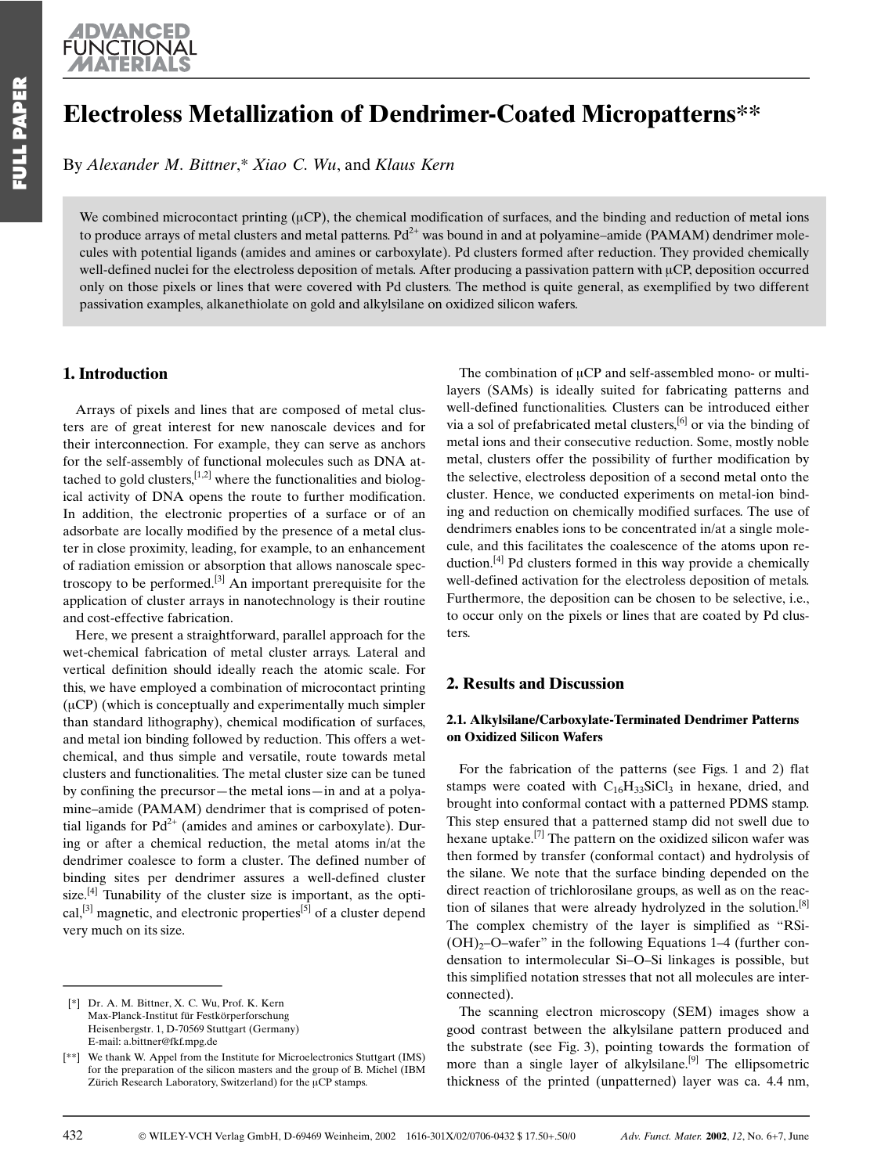# **Electroless Metallization of Dendrimer-Coated Micropatterns\*\***

By Alexander M. Bittner,\* Xiao C. Wu, and Klaus Kern

We combined microcontact printing ( $\mu$ CP), the chemical modification of surfaces, and the binding and reduction of metal ions to produce arrays of metal clusters and metal patterns.  $Pd^{2+}$  was bound in and at polyamine–amide (PAMAM) dendrimer molecules with potential ligands (amides and amines or carboxylate). Pd clusters formed after reduction. They provided chemically well-defined nuclei for the electroless deposition of metals. After producing a passivation pattern with µCP, deposition occurred only on those pixels or lines that were covered with Pd clusters. The method is quite general, as exemplified by two different passivation examples, alkanethiolate on gold and alkylsilane on oxidized silicon wafers.

### 1. Introduction

Arrays of pixels and lines that are composed of metal clusters are of great interest for new nanoscale devices and for their interconnection. For example, they can serve as anchors for the self-assembly of functional molecules such as DNA attached to gold clusters,  $[1,2]$  where the functionalities and biological activity of DNA opens the route to further modification. In addition, the electronic properties of a surface or of an adsorbate are locally modified by the presence of a metal cluster in close proximity, leading, for example, to an enhancement of radiation emission or absorption that allows nanoscale spectroscopy to be performed.<sup>[3]</sup> An important prerequisite for the application of cluster arrays in nanotechnology is their routine and cost-effective fabrication.

Here, we present a straightforward, parallel approach for the wet-chemical fabrication of metal cluster arrays. Lateral and vertical definition should ideally reach the atomic scale. For this, we have employed a combination of microcontact printing  $(\mu CP)$  (which is conceptually and experimentally much simpler than standard lithography), chemical modification of surfaces, and metal ion binding followed by reduction. This offers a wetchemical, and thus simple and versatile, route towards metal clusters and functionalities. The metal cluster size can be tuned by confining the precursor—the metal ions—in and at a polyamine-amide (PAMAM) dendrimer that is comprised of potential ligands for  $Pd^{2+}$  (amides and amines or carboxylate). During or after a chemical reduction, the metal atoms in/at the dendrimer coalesce to form a cluster. The defined number of binding sites per dendrimer assures a well-defined cluster size.<sup>[4]</sup> Tunability of the cluster size is important, as the optical,<sup>[3]</sup> magnetic, and electronic properties<sup>[5]</sup> of a cluster depend very much on its size.

432

The combination of  $\mu$ CP and self-assembled mono- or multilayers (SAMs) is ideally suited for fabricating patterns and well-defined functionalities. Clusters can be introduced either via a sol of prefabricated metal clusters,<sup>[6]</sup> or via the binding of metal ions and their consecutive reduction. Some, mostly noble metal, clusters offer the possibility of further modification by the selective, electroless deposition of a second metal onto the cluster. Hence, we conducted experiments on metal-ion binding and reduction on chemically modified surfaces. The use of dendrimers enables ions to be concentrated in/at a single molecule, and this facilitates the coalescence of the atoms upon reduction.<sup>[4]</sup> Pd clusters formed in this way provide a chemically well-defined activation for the electroless deposition of metals. Furthermore, the deposition can be chosen to be selective, i.e., to occur only on the pixels or lines that are coated by Pd clusters.

## **2. Results and Discussion**

#### 2.1. Alkylsilane/Carboxylate-Terminated Dendrimer Patterns on Oxidized Silicon Wafers

For the fabrication of the patterns (see Figs. 1 and 2) flat stamps were coated with  $C_{16}H_{33}SiCl_3$  in hexane, dried, and brought into conformal contact with a patterned PDMS stamp. This step ensured that a patterned stamp did not swell due to hexane uptake.<sup>[7]</sup> The pattern on the oxidized silicon wafer was then formed by transfer (conformal contact) and hydrolysis of the silane. We note that the surface binding depended on the direct reaction of trichlorosilane groups, as well as on the reaction of silanes that were already hydrolyzed in the solution.<sup>[8]</sup> The complex chemistry of the layer is simplified as "RSi- $(OH)<sub>2</sub>-O$ -wafer" in the following Equations 1–4 (further condensation to intermolecular Si-O-Si linkages is possible, but this simplified notation stresses that not all molecules are interconnected).

The scanning electron microscopy (SEM) images show a good contrast between the alkylsilane pattern produced and the substrate (see Fig. 3), pointing towards the formation of more than a single layer of alkylsilane.<sup>[9]</sup> The ellipsometric thickness of the printed (unpatterned) layer was ca. 4.4 nm,

<sup>[\*]</sup> Dr. A. M. Bittner, X. C. Wu, Prof. K. Kern Max-Planck-Institut für Festkörperforschung Heisenbergstr. 1, D-70569 Stuttgart (Germany) E-mail: a.bittner@fkf.mpg.de

We thank W. Appel from the Institute for Microelectronics Stuttgart (IMS)  $[**]$ for the preparation of the silicon masters and the group of B. Michel (IBM Zürich Research Laboratory, Switzerland) for the µCP stamps.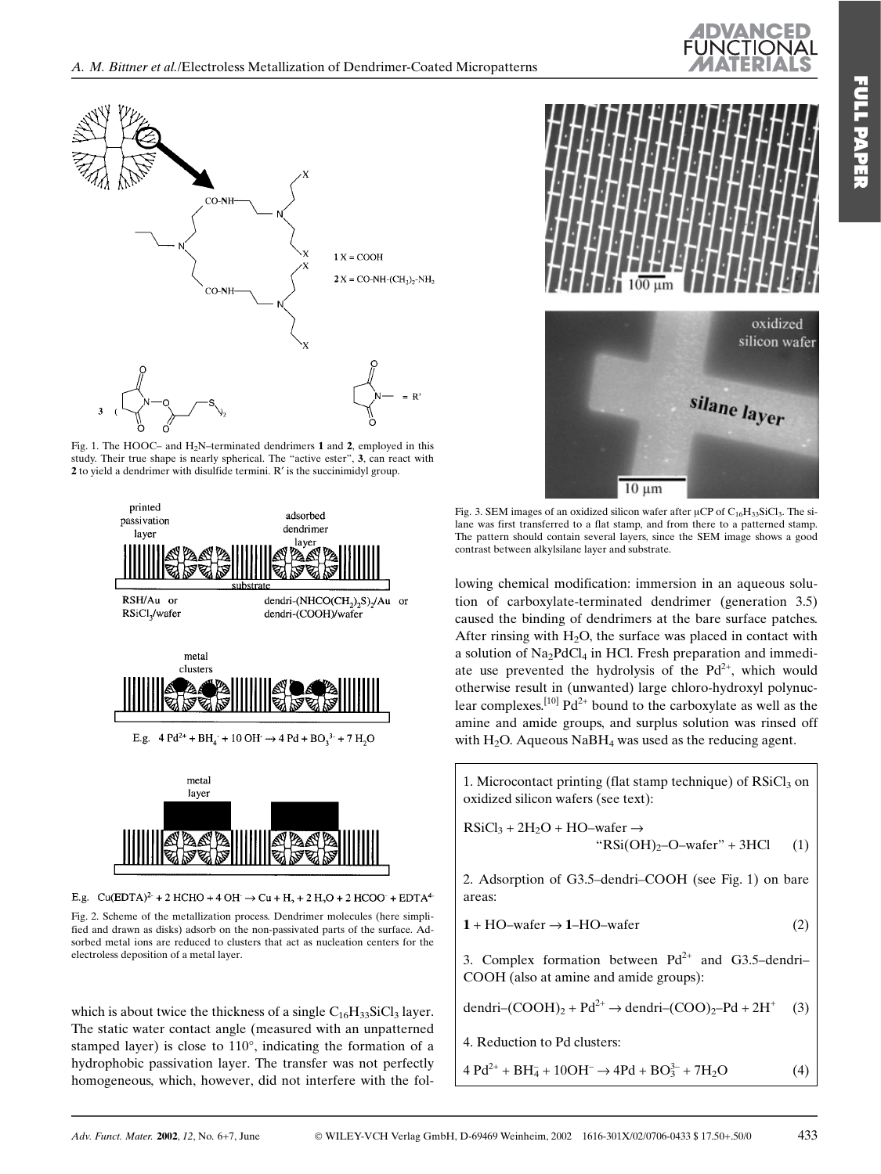

Fig. 1. The HOOC- and  $H_2N$ -terminated dendrimers 1 and 2, employed in this study. Their true shape is nearly spherical. The "active ester", 3, can react with 2 to vield a dendrimer with disulfide termini. R' is the succinimidyl group.



E.g. Cu(EDTA)<sup>2-</sup> + 2 HCHO + 4 OH  $\rightarrow$  Cu + H<sub>2</sub> + 2 H<sub>2</sub>O + 2 HCOO<sup>-</sup> + EDTA<sup>4-</sup>

Fig. 2. Scheme of the metallization process. Dendrimer molecules (here simplified and drawn as disks) adsorb on the non-passivated parts of the surface. Adsorbed metal ions are reduced to clusters that act as nucleation centers for the electroless deposition of a metal layer.

which is about twice the thickness of a single  $C_{16}H_{33}SiCl_3$  layer. The static water contact angle (measured with an unpatterned stamped layer) is close to 110°, indicating the formation of a hydrophobic passivation layer. The transfer was not perfectly homogeneous, which, however, did not interfere with the fol-





Fig. 3. SEM images of an oxidized silicon wafer after  $\mu CP$  of  $C_{16}H_{33}SiCl_3$ . The silane was first transferred to a flat stamp, and from there to a patterned stamp. The pattern should contain several layers, since the SEM image shows a good contrast between alkylsilane layer and substrate.

lowing chemical modification: immersion in an aqueous solution of carboxylate-terminated dendrimer (generation 3.5) caused the binding of dendrimers at the bare surface patches. After rinsing with  $H_2O$ , the surface was placed in contact with a solution of  $Na<sub>2</sub>PdCl<sub>4</sub>$  in HCl. Fresh preparation and immediate use prevented the hydrolysis of the Pd<sup>2+</sup>, which would otherwise result in (unwanted) large chloro-hydroxyl polynuclear complexes.<sup>[10]</sup>  $Pd^{2+}$  bound to the carboxylate as well as the amine and amide groups, and surplus solution was rinsed off with  $H_2O$ . Aqueous NaB $H_4$  was used as the reducing agent.

1. Microcontact printing (flat stamp technique) of RSiCl<sub>3</sub> on oxidized silicon wafers (see text):

 $RSiCl_3 + 2H_2O + HO$ -wafer  $\rightarrow$ " $RSi(OH)_{2}-O$ -wafer" + 3HCl  $(1)$ 

2. Adsorption of G3.5-dendri-COOH (see Fig. 1) on bare areas:

$$
1 + HO-water \rightarrow 1 - HO-water \tag{2}
$$

3. Complex formation between  $Pd^{2+}$  and G3.5-dendri-COOH (also at amine and amide groups):

$$
dendri-(COOH)_2 + Pd^{2+} \rightarrow dendri-(COO)_2 - Pd + 2H^+ \quad (3)
$$

4. Reduction to Pd clusters:

 $4 Pd^{2+} + BH_4 + 10OH^- \rightarrow 4Pd + BO_3^{3-} + 7H_2O$  $(4)$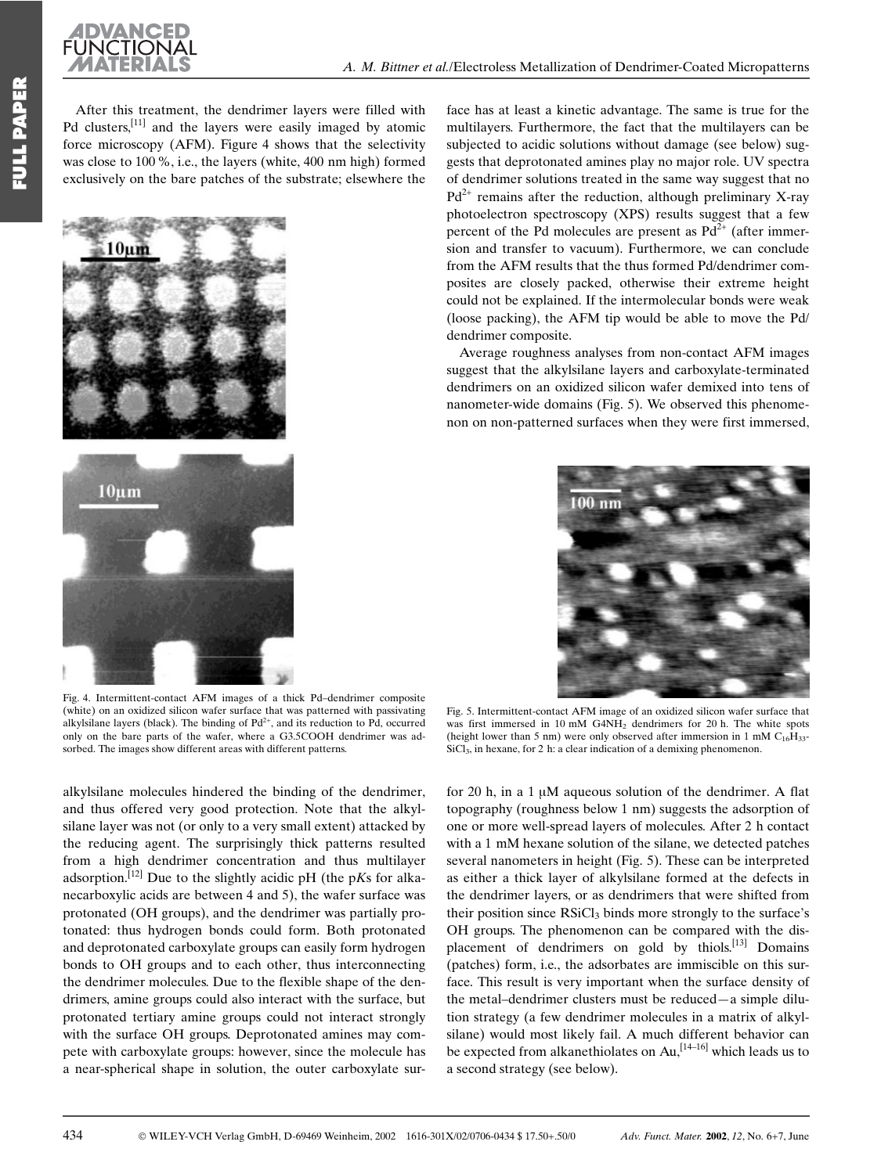

After this treatment, the dendrimer lavers were filled with Pd clusters,  $[11]$  and the layers were easily imaged by atomic force microscopy (AFM). Figure 4 shows that the selectivity was close to 100 %, i.e., the layers (white, 400 nm high) formed exclusively on the bare patches of the substrate; elsewhere the



Fig. 4. Intermittent-contact AFM images of a thick Pd-dendrimer composite (white) on an oxidized silicon wafer surface that was patterned with passivating alkylsilane layers (black). The binding of  $Pd^{2+}$ , and its reduction to Pd, occurred only on the bare parts of the wafer, where a G3.5COOH dendrimer was adsorbed. The images show different areas with different patterns.

alkylsilane molecules hindered the binding of the dendrimer, and thus offered very good protection. Note that the alkylsilane layer was not (or only to a very small extent) attacked by the reducing agent. The surprisingly thick patterns resulted from a high dendrimer concentration and thus multilayer adsorption.<sup>[12]</sup> Due to the slightly acidic pH (the pKs for alkanecarboxylic acids are between 4 and 5), the wafer surface was protonated (OH groups), and the dendrimer was partially protonated: thus hydrogen bonds could form. Both protonated and deprotonated carboxylate groups can easily form hydrogen bonds to OH groups and to each other, thus interconnecting the dendrimer molecules. Due to the flexible shape of the dendrimers, amine groups could also interact with the surface, but protonated tertiary amine groups could not interact strongly with the surface OH groups. Deprotonated amines may compete with carboxylate groups: however, since the molecule has a near-spherical shape in solution, the outer carboxylate surface has at least a kinetic advantage. The same is true for the multilayers. Furthermore, the fact that the multilayers can be subjected to acidic solutions without damage (see below) suggests that deprotonated amines play no major role. UV spectra of dendrimer solutions treated in the same way suggest that no  $Pd^{2+}$  remains after the reduction, although preliminary X-ray photoelectron spectroscopy (XPS) results suggest that a few percent of the Pd molecules are present as  $Pd^{2+}$  (after immersion and transfer to vacuum). Furthermore, we can conclude from the AFM results that the thus formed Pd/dendrimer composites are closely packed, otherwise their extreme height could not be explained. If the intermolecular bonds were weak (loose packing), the AFM tip would be able to move the Pd/ dendrimer composite.

Average roughness analyses from non-contact AFM images suggest that the alkylsilane layers and carboxylate-terminated dendrimers on an oxidized silicon wafer demixed into tens of nanometer-wide domains (Fig. 5). We observed this phenomenon on non-patterned surfaces when they were first immersed,



Fig. 5. Intermittent-contact AFM image of an oxidized silicon wafer surface that was first immersed in 10 mM  $G4NH<sub>2</sub>$  dendrimers for 20 h. The white spots (height lower than 5 nm) were only observed after immersion in 1 mM  $C_{16}H_{33}$  $SiCl<sub>3</sub>$ , in hexane, for 2 h: a clear indication of a demixing phenomenon.

for 20 h, in a  $1 \mu M$  aqueous solution of the dendrimer. A flat topography (roughness below 1 nm) suggests the adsorption of one or more well-spread layers of molecules. After 2 h contact with a 1 mM hexane solution of the silane, we detected patches several nanometers in height (Fig. 5). These can be interpreted as either a thick layer of alkylsilane formed at the defects in the dendrimer layers, or as dendrimers that were shifted from their position since RSiCl<sub>3</sub> binds more strongly to the surface's OH groups. The phenomenon can be compared with the displacement of dendrimers on gold by thiols.<sup>[13]</sup> Domains (patches) form, i.e., the adsorbates are immiscible on this surface. This result is very important when the surface density of the metal-dendrimer clusters must be reduced-a simple dilution strategy (a few dendrimer molecules in a matrix of alkylsilane) would most likely fail. A much different behavior can be expected from alkanethiolates on  $Au$ ,  $[14-16]$  which leads us to a second strategy (see below).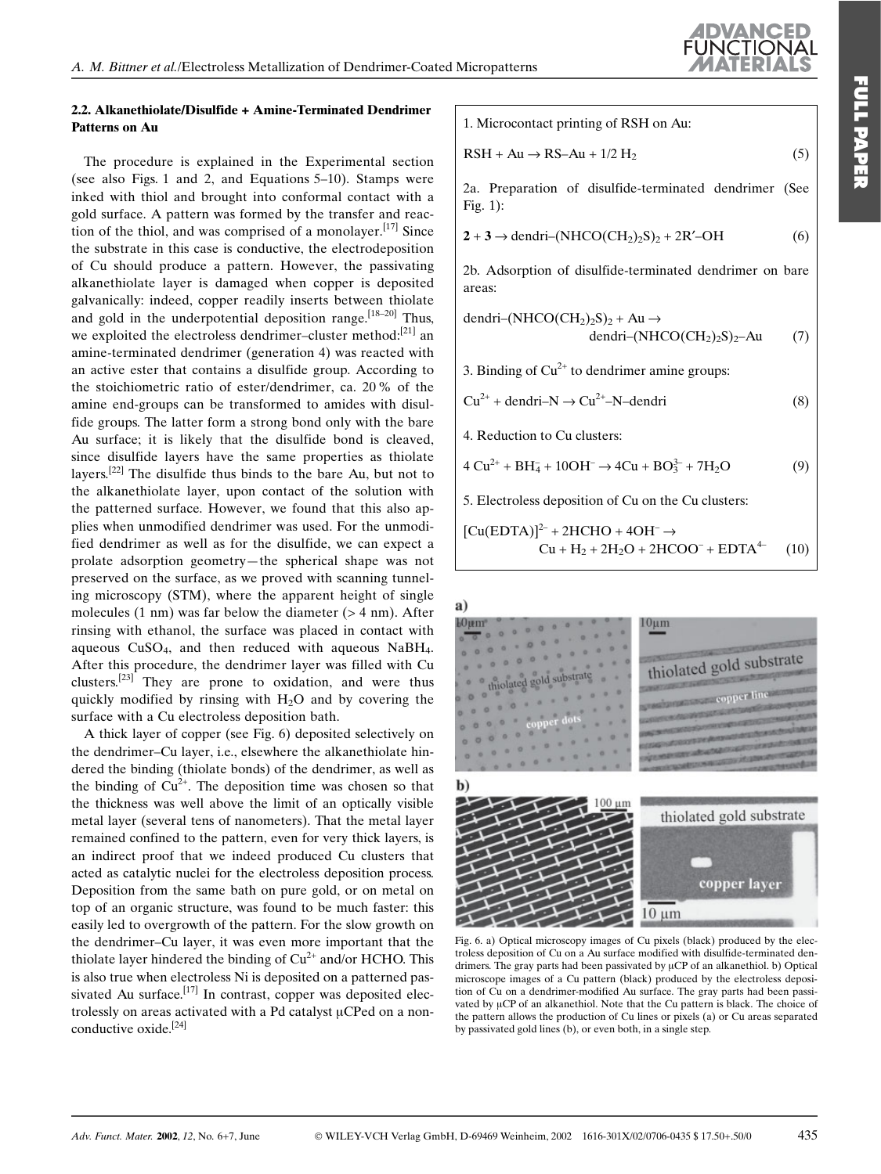## 2.2. Alkanethiolate/Disulfide + Amine-Terminated Dendrimer Patterns on Au

The procedure is explained in the Experimental section (see also Figs. 1 and 2, and Equations 5–10). Stamps were inked with thiol and brought into conformal contact with a gold surface. A pattern was formed by the transfer and reaction of the thiol, and was comprised of a monolayer.<sup>[17]</sup> Since the substrate in this case is conductive, the electrodeposition of Cu should produce a pattern. However, the passivating alkanethiolate layer is damaged when copper is deposited galvanically: indeed, copper readily inserts between thiolate and gold in the underpotential deposition range.<sup>[18-20]</sup> Thus. we exploited the electroless dendrimer-cluster method: $[21]$  an amine-terminated dendrimer (generation 4) was reacted with an active ester that contains a disulfide group. According to the stoichiometric ratio of ester/dendrimer, ca. 20% of the amine end-groups can be transformed to amides with disulfide groups. The latter form a strong bond only with the bare Au surface; it is likely that the disulfide bond is cleaved, since disulfide layers have the same properties as thiolate layers.  $[22]$  The disulfide thus binds to the bare Au, but not to the alkanethiolate layer, upon contact of the solution with the patterned surface. However, we found that this also applies when unmodified dendrimer was used. For the unmodified dendrimer as well as for the disulfide, we can expect a prolate adsorption geometry—the spherical shape was not preserved on the surface, as we proved with scanning tunneling microscopy (STM), where the apparent height of single molecules  $(1 \text{ nm})$  was far below the diameter  $(> 4 \text{ nm})$ . After rinsing with ethanol, the surface was placed in contact with aqueous  $CuSO<sub>4</sub>$ , and then reduced with aqueous NaBH<sub>4</sub>. After this procedure, the dendrimer layer was filled with Cu clusters.<sup>[23]</sup> They are prone to oxidation, and were thus quickly modified by rinsing with  $H_2O$  and by covering the surface with a Cu electroless deposition bath.

A thick layer of copper (see Fig. 6) deposited selectively on the dendrimer-Cu layer, i.e., elsewhere the alkanethiolate hindered the binding (thiolate bonds) of the dendrimer, as well as the binding of  $Cu^{2+}$ . The deposition time was chosen so that the thickness was well above the limit of an optically visible metal layer (several tens of nanometers). That the metal layer remained confined to the pattern, even for very thick layers, is an indirect proof that we indeed produced Cu clusters that acted as catalytic nuclei for the electroless deposition process. Deposition from the same bath on pure gold, or on metal on top of an organic structure, was found to be much faster: this easily led to overgrowth of the pattern. For the slow growth on the dendrimer-Cu layer, it was even more important that the thiolate layer hindered the binding of  $Cu^{2+}$  and/or HCHO. This is also true when electroless Ni is deposited on a patterned passivated Au surface.<sup>[17]</sup> In contrast, copper was deposited electrolessly on areas activated with a Pd catalyst µCPed on a nonconductive oxide. $[24]$ 

1. Microcontact printing of RSH on Au:

$$
RSH + Au \rightarrow RS-Au + 1/2 H_2 \tag{5}
$$

2a. Preparation of disulfide-terminated dendrimer (See Fig.  $1$ :

 $2 + 3 \rightarrow$  dendri-(NHCO(CH<sub>2</sub>)<sub>2</sub>S)<sub>2</sub> + 2R'-OH  $(6)$ 

2b. Adsorption of disulfide-terminated dendrimer on bare areas:

$$
\text{dendri} - (\text{NHCO}(\text{CH}_2)_2\text{S})_2 + \text{Au} \rightarrow
$$
\n
$$
\text{dendri} - (\text{NHCO}(\text{CH}_2)_2\text{S})_2 - \text{Au}
$$
\n(7)

3. Binding of  $Cu^{2+}$  to dendrimer amine groups:

$$
Cu^{2+} + dendri-N \rightarrow Cu^{2+} - N - dendri
$$
 (8)

4. Reduction to Cu clusters:

 $4 Cu^{2+} + BH_4^- + 10OH^- \rightarrow 4Cu + BO_3^{2-} + 7H_2O$  $(9)$ 

5. Electroless deposition of Cu on the Cu clusters:

$$
[Cu(EDTA)]^{2-} + 2HCHO + 4OH^- \rightarrow
$$
  
Cu + H<sub>2</sub> + 2H<sub>2</sub>O + 2HCOO<sup>-</sup> + EDTA<sup>4</sup> (10)

a)



Fig. 6. a) Optical microscopy images of Cu pixels (black) produced by the electroless deposition of Cu on a Au surface modified with disulfide-terminated dendrimers. The gray parts had been passivated by µCP of an alkanethiol. b) Optical microscope images of a Cu pattern (black) produced by the electroless deposition of Cu on a dendrimer-modified Au surface. The gray parts had been passivated by µCP of an alkanethiol. Note that the Cu pattern is black. The choice of the pattern allows the production of Cu lines or pixels (a) or Cu areas separated by passivated gold lines (b), or even both, in a single step.

 $10 \mu m$